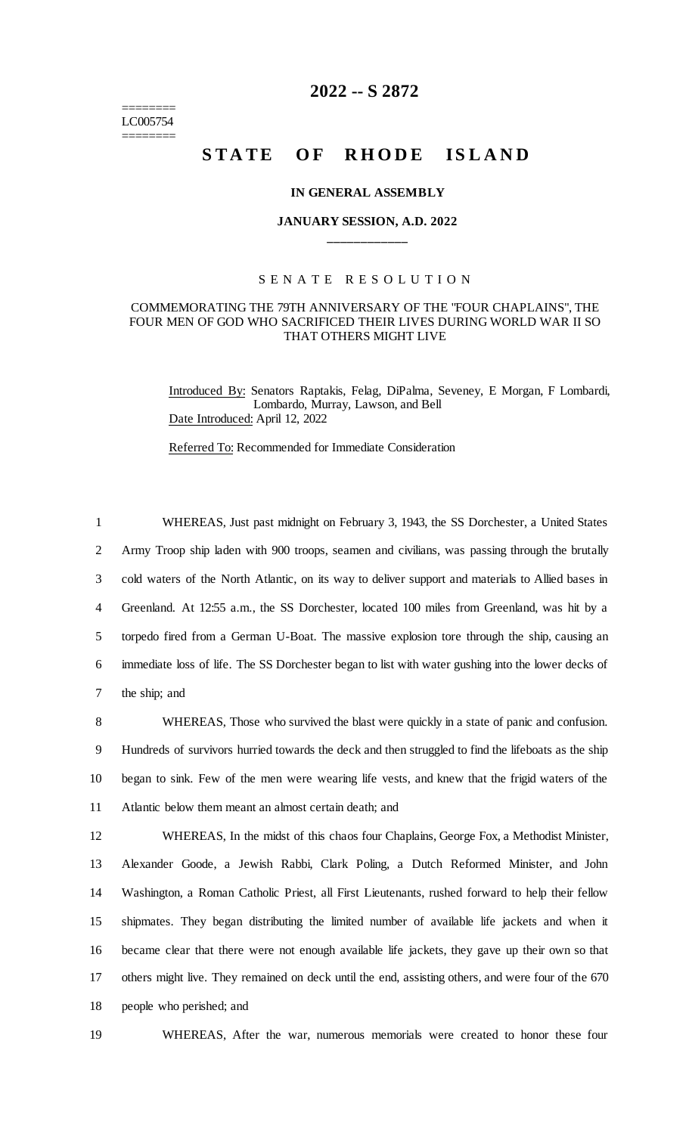======== LC005754 ========

# **2022 -- S 2872**

# STATE OF RHODE ISLAND

## **IN GENERAL ASSEMBLY**

# **JANUARY SESSION, A.D. 2022 \_\_\_\_\_\_\_\_\_\_\_\_**

## S E N A T E R E S O L U T I O N

## COMMEMORATING THE 79TH ANNIVERSARY OF THE "FOUR CHAPLAINS", THE FOUR MEN OF GOD WHO SACRIFICED THEIR LIVES DURING WORLD WAR II SO THAT OTHERS MIGHT LIVE

Introduced By: Senators Raptakis, Felag, DiPalma, Seveney, E Morgan, F Lombardi, Lombardo, Murray, Lawson, and Bell Date Introduced: April 12, 2022

Referred To: Recommended for Immediate Consideration

 WHEREAS, Just past midnight on February 3, 1943, the SS Dorchester, a United States Army Troop ship laden with 900 troops, seamen and civilians, was passing through the brutally cold waters of the North Atlantic, on its way to deliver support and materials to Allied bases in Greenland. At 12:55 a.m., the SS Dorchester, located 100 miles from Greenland, was hit by a torpedo fired from a German U-Boat. The massive explosion tore through the ship, causing an immediate loss of life. The SS Dorchester began to list with water gushing into the lower decks of the ship; and

 WHEREAS, Those who survived the blast were quickly in a state of panic and confusion. Hundreds of survivors hurried towards the deck and then struggled to find the lifeboats as the ship began to sink. Few of the men were wearing life vests, and knew that the frigid waters of the Atlantic below them meant an almost certain death; and

 WHEREAS, In the midst of this chaos four Chaplains, George Fox, a Methodist Minister, Alexander Goode, a Jewish Rabbi, Clark Poling, a Dutch Reformed Minister, and John Washington, a Roman Catholic Priest, all First Lieutenants, rushed forward to help their fellow shipmates. They began distributing the limited number of available life jackets and when it became clear that there were not enough available life jackets, they gave up their own so that others might live. They remained on deck until the end, assisting others, and were four of the 670 people who perished; and

19 WHEREAS, After the war, numerous memorials were created to honor these four